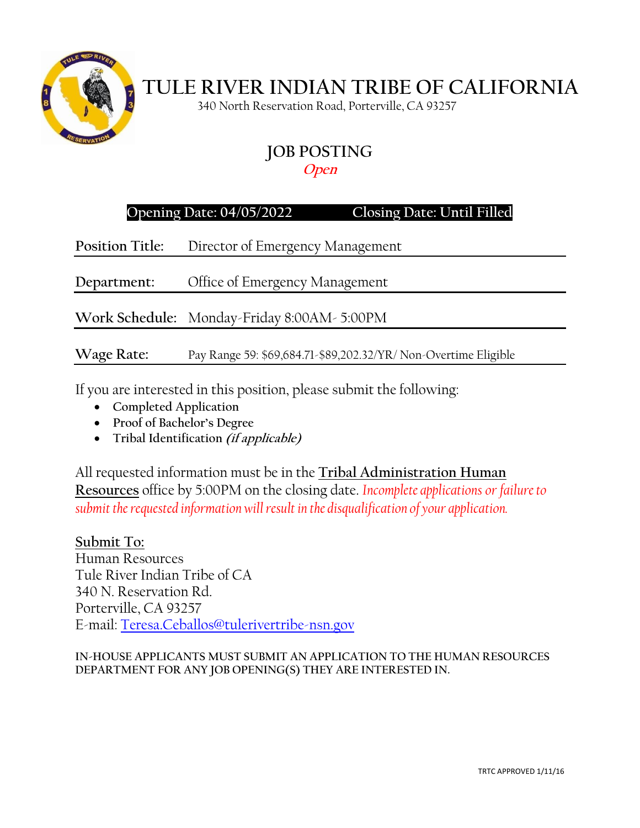

# **TULE RIVER INDIAN TRIBE OF CALIFORNIA**

340 North Reservation Road, Porterville, CA 93257

## **JOB POSTING**

### **Open**

## **Opening Date: 04/05/2022 Closing Date: Until Filled**

**Position Title:** Director of Emergency Management

**Department:** Office of Emergency Management

**Work Schedule:** Monday-Friday 8:00AM- 5:00PM

**Wage Rate:** Pay Range 59: \$69,684.71-\$89,202.32/YR/ Non-Overtime Eligible

If you are interested in this position, please submit the following:

- **Completed Application**
- **Proof of Bachelor's Degree**
- **Tribal Identification (if applicable)**

All requested information must be in the **Tribal Administration Human Resources** office by 5:00PM on the closing date. *Incomplete applications or failure to submit the requested information will result in the disqualification of your application.*

**Submit To:** Human Resources Tule River Indian Tribe of CA 340 N. Reservation Rd. Porterville, CA 93257 E-mail: [Teresa.Ceballos@tulerivertribe-nsn.gov](mailto:Teresa.Ceballos@tulerivertribe-nsn.gov)

**IN-HOUSE APPLICANTS MUST SUBMIT AN APPLICATION TO THE HUMAN RESOURCES DEPARTMENT FOR ANY JOB OPENING(S) THEY ARE INTERESTED IN.**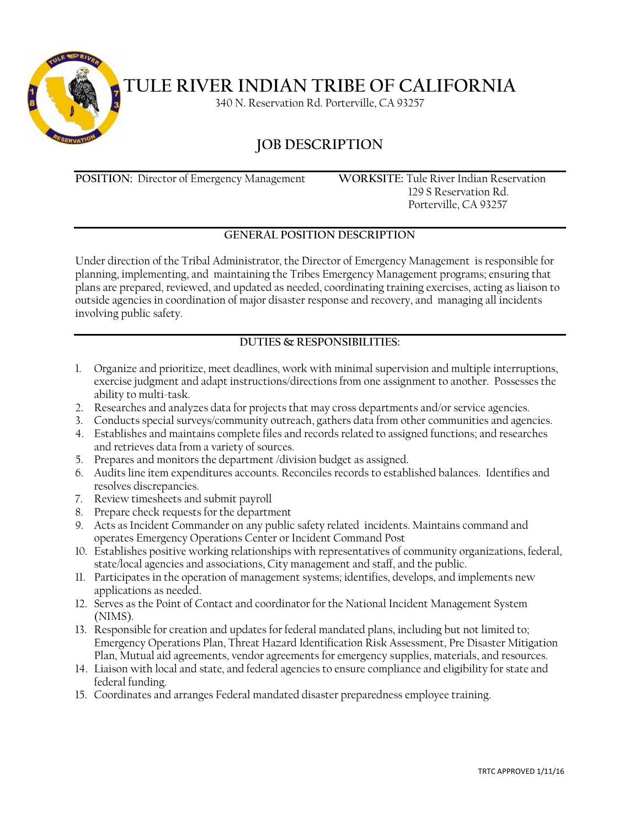

**TULE RIVER INDIAN TRIBE OF CALIFORNIA**

340 N. Reservation Rd. Porterville, CA 93257

## **JOB DESCRIPTION**

**POSITION:** Director of Emergency Management **WORKSITE:** Tule River Indian Reservation

 129 S Reservation Rd. Porterville, CA 93257

#### **GENERAL POSITION DESCRIPTION**

Under direction of the Tribal Administrator, the Director of Emergency Management is responsible for planning, implementing, and maintaining the Tribes Emergency Management programs; ensuring that plans are prepared, reviewed, and updated as needed, coordinating training exercises, acting as liaison to outside agencies in coordination of major disaster response and recovery, and managing all incidents involving public safety.

#### **DUTIES & RESPONSIBILITIES:**

- 1. Organize and prioritize, meet deadlines, work with minimal supervision and multiple interruptions, exercise judgment and adapt instructions/directions from one assignment to another. Possesses the ability to multi-task.
- 2. Researches and analyzes data for projects that may cross departments and/or service agencies.
- 3. Conducts special surveys/community outreach, gathers data from other communities and agencies.
- 4. Establishes and maintains complete files and records related to assigned functions; and researches and retrieves data from a variety of sources.
- 5. Prepares and monitors the department /division budget as assigned.
- 6. Audits line item expenditures accounts. Reconciles records to established balances. Identifies and resolves discrepancies.
- 7. Review timesheets and submit payroll
- 8. Prepare check requests for the department
- 9. Acts as Incident Commander on any public safety related incidents. Maintains command and operates Emergency Operations Center or Incident Command Post
- 10. Establishes positive working relationships with representatives of community organizations, federal, state/local agencies and associations, City management and staff, and the public.
- 11. Participates in the operation of management systems; identifies, develops, and implements new applications as needed.
- 12. Serves as the Point of Contact and coordinator for the National Incident Management System (NIMS).
- 13. Responsible for creation and updates for federal mandated plans, including but not limited to; Emergency Operations Plan, Threat Hazard Identification Risk Assessment, Pre Disaster Mitigation Plan, Mutual aid agreements, vendor agreements for emergency supplies, materials, and resources.
- 14. Liaison with local and state, and federal agencies to ensure compliance and eligibility for state and federal funding.
- 15. Coordinates and arranges Federal mandated disaster preparedness employee training.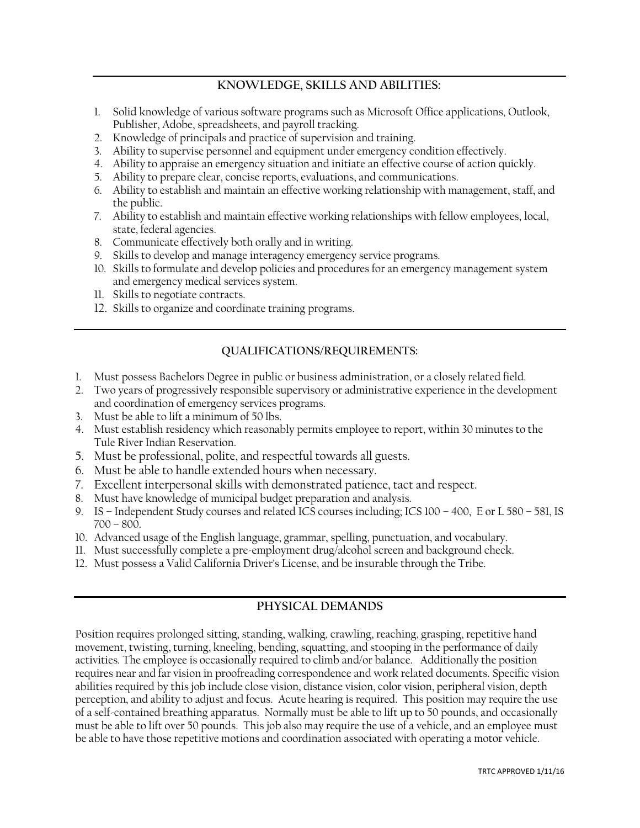### **KNOWLEDGE, SKILLS AND ABILITIES:**

- 1. Solid knowledge of various software programs such as Microsoft Office applications, Outlook, Publisher, Adobe, spreadsheets, and payroll tracking.
- 2. Knowledge of principals and practice of supervision and training.
- 3. Ability to supervise personnel and equipment under emergency condition effectively.
- 4. Ability to appraise an emergency situation and initiate an effective course of action quickly.
- 5. Ability to prepare clear, concise reports, evaluations, and communications.
- 6. Ability to establish and maintain an effective working relationship with management, staff, and the public.
- 7. Ability to establish and maintain effective working relationships with fellow employees, local, state, federal agencies.
- 8. Communicate effectively both orally and in writing.
- 9. Skills to develop and manage interagency emergency service programs.
- 10. Skills to formulate and develop policies and procedures for an emergency management system and emergency medical services system.
- 11. Skills to negotiate contracts.
- 12. Skills to organize and coordinate training programs.

#### **QUALIFICATIONS/REQUIREMENTS:**

- 1. Must possess Bachelors Degree in public or business administration, or a closely related field.
- 2. Two years of progressively responsible supervisory or administrative experience in the development and coordination of emergency services programs.
- 3. Must be able to lift a minimum of 50 lbs.
- 4. Must establish residency which reasonably permits employee to report, within 30 minutes to the Tule River Indian Reservation.
- 5. Must be professional, polite, and respectful towards all guests.
- 6. Must be able to handle extended hours when necessary.
- 7. Excellent interpersonal skills with demonstrated patience, tact and respect.
- 8. Must have knowledge of municipal budget preparation and analysis.
- 9. IS Independent Study courses and related ICS courses including; ICS 100 400, E or L 580 581, IS 700 – 800.
- 10. Advanced usage of the English language, grammar, spelling, punctuation, and vocabulary.
- 11. Must successfully complete a pre-employment drug/alcohol screen and background check.
- 12. Must possess a Valid California Driver's License, and be insurable through the Tribe.

#### **PHYSICAL DEMANDS**

Position requires prolonged sitting, standing, walking, crawling, reaching, grasping, repetitive hand movement, twisting, turning, kneeling, bending, squatting, and stooping in the performance of daily activities. The employee is occasionally required to climb and/or balance. Additionally the position requires near and far vision in proofreading correspondence and work related documents. Specific vision abilities required by this job include close vision, distance vision, color vision, peripheral vision, depth perception, and ability to adjust and focus. Acute hearing is required. This position may require the use of a self-contained breathing apparatus. Normally must be able to lift up to 50 pounds, and occasionally must be able to lift over 50 pounds. This job also may require the use of a vehicle, and an employee must be able to have those repetitive motions and coordination associated with operating a motor vehicle.